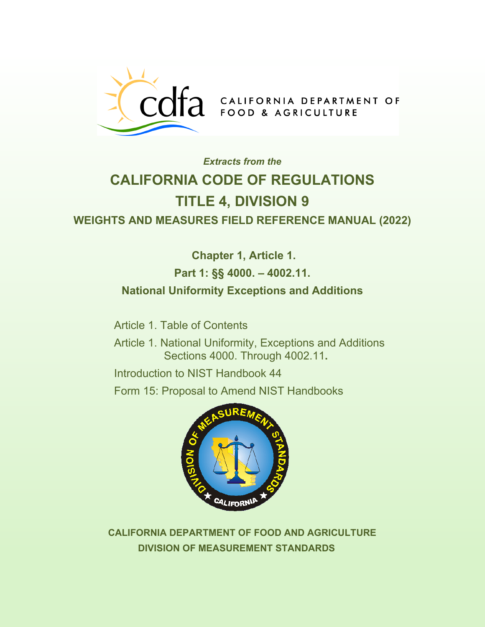

# *Extracts from the* **CALIFORNIA CODE OF REGULATIONS TITLE 4, DIVISION 9 WEIGHTS AND MEASURES FIELD REFERENCE MANUAL (2022)**

## **Chapter 1, Article 1. Part 1: §§ 4000. – 4002.11. National Uniformity Exceptions and Additions**

[Article 1. Table of Contents](#page-2-0)

[Article 1. National Uniformity, Exceptions and Additions](#page-2-1)  [Sections 4000. Through 4002.1](#page-2-1)1**.** 

[Introduction to NIST Handbook 44](#page-8-0)

Form 15: Proposal to Amend NIST Handbooks



**CALIFORNIA DEPARTMENT OF FOOD AND AGRICULTURE DIVISION OF MEASUREMENT STANDARDS**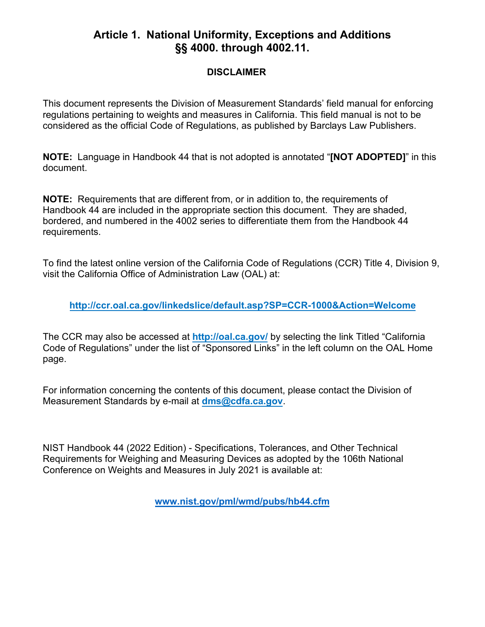#### **DISCLAIMER**

This document represents the Division of Measurement Standards' field manual for enforcing regulations pertaining to weights and measures in California. This field manual is not to be considered as the official Code of Regulations, as published by Barclays Law Publishers.

**NOTE:** Language in Handbook 44 that is not adopted is annotated "**[NOT ADOPTED]**" in this document.

**NOTE:** Requirements that are different from, or in addition to, the requirements of Handbook 44 are included in the appropriate section this document. They are shaded, bordered, and numbered in the 4002 series to differentiate them from the Handbook 44 requirements.

To find the latest online version of the California Code of Regulations (CCR) Title 4, Division 9, visit the California Office of Administration Law (OAL) at:

**<http://ccr.oal.ca.gov/linkedslice/default.asp?SP=CCR-1000&Action=Welcome>**

The CCR may also be accessed at **<http://oal.ca.gov/>** by selecting the link Titled "California Code of Regulations" under the list of "Sponsored Links" in the left column on the OAL Home page.

For information concerning the contents of this document, please contact the Division of Measurement Standards by e-mail at **[dms@cdfa.ca.gov](mailto:dms@cdfa.ca.gov)**.

NIST Handbook 44 (2022 Edition) - Specifications, Tolerances, and Other Technical Requirements for Weighing and Measuring Devices as adopted by the 106th National Conference on Weights and Measures in July 2021 is available at:

**[www.nist.gov/pml/wmd/pubs/hb44.cfm](http://www.nist.gov/pml/wmd/pubs/hb44.cfm)**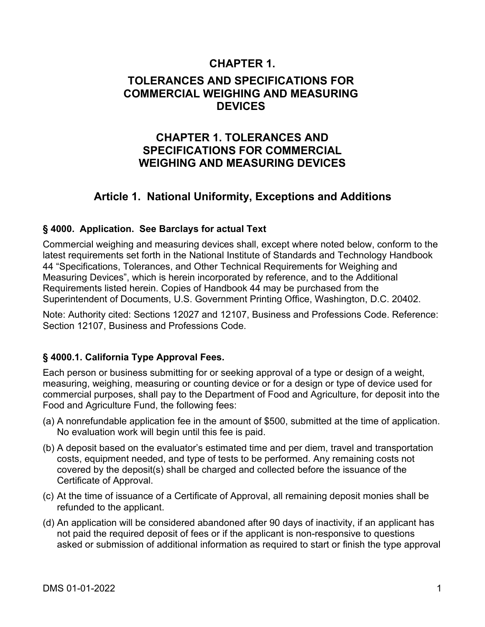### **CHAPTER 1.**

### **TOLERANCES AND SPECIFICATIONS FOR COMMERCIAL WEIGHING AND MEASURING DEVICES**

### **CHAPTER 1. TOLERANCES AND SPECIFICATIONS FOR COMMERCIAL WEIGHING AND MEASURING DEVICES**

### <span id="page-2-0"></span>**Article 1. National Uniformity, Exceptions and Additions**

#### <span id="page-2-1"></span>**§ 4000. Application. See Barclays for actual Text**

Commercial weighing and measuring devices shall, except where noted below, conform to the latest requirements set forth in the National Institute of Standards and Technology Handbook 44 "Specifications, Tolerances, and Other Technical Requirements for Weighing and Measuring Devices", which is herein incorporated by reference, and to the Additional Requirements listed herein. Copies of Handbook 44 may be purchased from the Superintendent of Documents, U.S. Government Printing Office, Washington, D.C. 20402.

Note: Authority cited: Sections 12027 and 12107, Business and Professions Code. Reference: Section 12107, Business and Professions Code.

#### **§ 4000.1. California Type Approval Fees.**

Each person or business submitting for or seeking approval of a type or design of a weight, measuring, weighing, measuring or counting device or for a design or type of device used for commercial purposes, shall pay to the Department of Food and Agriculture, for deposit into the Food and Agriculture Fund, the following fees:

- (a) A nonrefundable application fee in the amount of \$500, submitted at the time of application. No evaluation work will begin until this fee is paid.
- (b) A deposit based on the evaluator's estimated time and per diem, travel and transportation costs, equipment needed, and type of tests to be performed. Any remaining costs not covered by the deposit(s) shall be charged and collected before the issuance of the Certificate of Approval.
- (c) At the time of issuance of a Certificate of Approval, all remaining deposit monies shall be refunded to the applicant.
- (d) An application will be considered abandoned after 90 days of inactivity, if an applicant has not paid the required deposit of fees or if the applicant is non-responsive to questions asked or submission of additional information as required to start or finish the type approval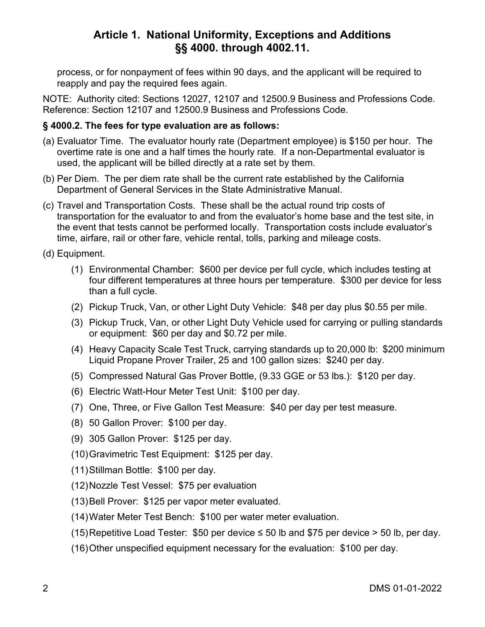process, or for nonpayment of fees within 90 days, and the applicant will be required to reapply and pay the required fees again.

NOTE: Authority cited: Sections 12027, 12107 and 12500.9 Business and Professions Code. Reference: Section 12107 and 12500.9 Business and Professions Code.

#### **§ 4000.2. The fees for type evaluation are as follows:**

- (a) Evaluator Time. The evaluator hourly rate (Department employee) is \$150 per hour. The overtime rate is one and a half times the hourly rate. If a non-Departmental evaluator is used, the applicant will be billed directly at a rate set by them.
- (b) Per Diem. The per diem rate shall be the current rate established by the California Department of General Services in the State Administrative Manual.
- (c) Travel and Transportation Costs. These shall be the actual round trip costs of transportation for the evaluator to and from the evaluator's home base and the test site, in the event that tests cannot be performed locally. Transportation costs include evaluator's time, airfare, rail or other fare, vehicle rental, tolls, parking and mileage costs.
- (d) Equipment.
	- (1) Environmental Chamber: \$600 per device per full cycle, which includes testing at four different temperatures at three hours per temperature. \$300 per device for less than a full cycle.
	- (2) Pickup Truck, Van, or other Light Duty Vehicle: \$48 per day plus \$0.55 per mile.
	- (3) Pickup Truck, Van, or other Light Duty Vehicle used for carrying or pulling standards or equipment: \$60 per day and \$0.72 per mile.
	- (4) Heavy Capacity Scale Test Truck, carrying standards up to 20,000 lb: \$200 minimum Liquid Propane Prover Trailer, 25 and 100 gallon sizes: \$240 per day.
	- (5) Compressed Natural Gas Prover Bottle, (9.33 GGE or 53 lbs.): \$120 per day.
	- (6) Electric Watt-Hour Meter Test Unit: \$100 per day.
	- (7) One, Three, or Five Gallon Test Measure: \$40 per day per test measure.
	- (8) 50 Gallon Prover: \$100 per day.
	- (9) 305 Gallon Prover: \$125 per day.
	- (10)Gravimetric Test Equipment: \$125 per day.
	- (11)Stillman Bottle: \$100 per day.
	- (12)Nozzle Test Vessel: \$75 per evaluation
	- (13)Bell Prover: \$125 per vapor meter evaluated.
	- (14)Water Meter Test Bench: \$100 per water meter evaluation.
	- (15) Repetitive Load Tester: \$50 per device  $\leq$  50 lb and \$75 per device  $>$  50 lb, per day.
	- (16)Other unspecified equipment necessary for the evaluation: \$100 per day.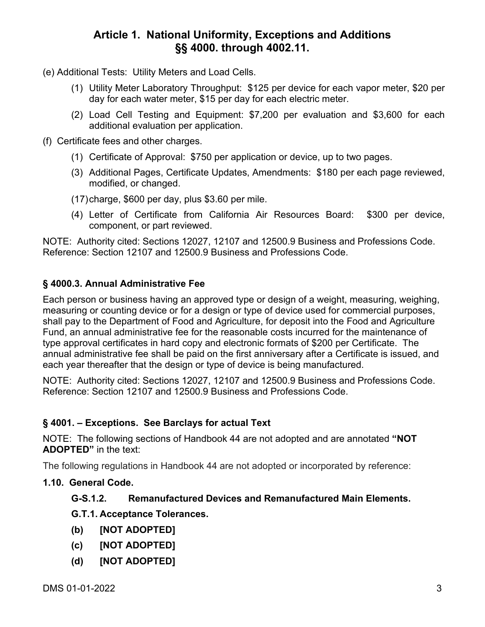- (e) Additional Tests: Utility Meters and Load Cells.
	- (1) Utility Meter Laboratory Throughput: \$125 per device for each vapor meter, \$20 per day for each water meter, \$15 per day for each electric meter.
	- (2) Load Cell Testing and Equipment: \$7,200 per evaluation and \$3,600 for each additional evaluation per application.
- (f) Certificate fees and other charges.
	- (1) Certificate of Approval: \$750 per application or device, up to two pages.
	- (3) Additional Pages, Certificate Updates, Amendments: \$180 per each page reviewed, modified, or changed.
	- (17)charge, \$600 per day, plus \$3.60 per mile.
	- (4) Letter of Certificate from California Air Resources Board: \$300 per device, component, or part reviewed.

NOTE: Authority cited: Sections 12027, 12107 and 12500.9 Business and Professions Code. Reference: Section 12107 and 12500.9 Business and Professions Code.

#### **§ 4000.3. Annual Administrative Fee**

Each person or business having an approved type or design of a weight, measuring, weighing, measuring or counting device or for a design or type of device used for commercial purposes, shall pay to the Department of Food and Agriculture, for deposit into the Food and Agriculture Fund, an annual administrative fee for the reasonable costs incurred for the maintenance of type approval certificates in hard copy and electronic formats of \$200 per Certificate. The annual administrative fee shall be paid on the first anniversary after a Certificate is issued, and each year thereafter that the design or type of device is being manufactured.

NOTE: Authority cited: Sections 12027, 12107 and 12500.9 Business and Professions Code. Reference: Section 12107 and 12500.9 Business and Professions Code.

#### **§ 4001. – Exceptions. See Barclays for actual Text**

NOTE: The following sections of Handbook 44 are not adopted and are annotated **"NOT ADOPTED"** in the text:

The following regulations in Handbook 44 are not adopted or incorporated by reference:

#### **1.10. General Code.**

#### **G-S.1.2. Remanufactured Devices and Remanufactured Main Elements.**

#### **G.T.1. Acceptance Tolerances.**

- **(b) [NOT ADOPTED]**
- **(c) [NOT ADOPTED]**
- **(d) [NOT ADOPTED]**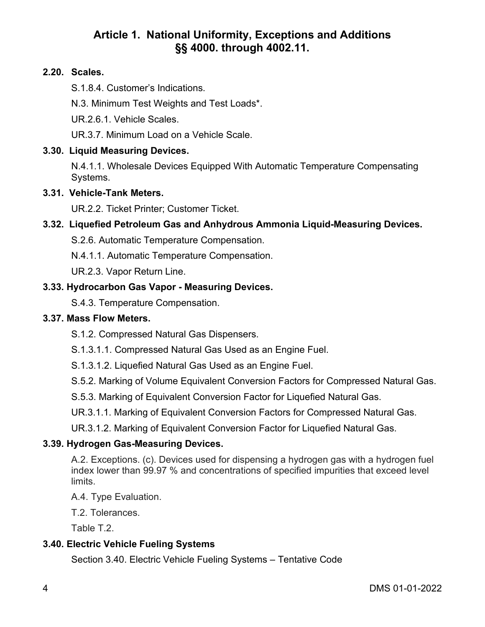#### **2.20. Scales.**

S.1.8.4. Customer's Indications.

N.3. Minimum Test Weights and Test Loads\*.

UR.2.6.1. Vehicle Scales.

UR.3.7. Minimum Load on a Vehicle Scale.

#### **3.30. Liquid Measuring Devices.**

N.4.1.1. Wholesale Devices Equipped With Automatic Temperature Compensating Systems.

#### **3.31. Vehicle-Tank Meters.**

UR.2.2. Ticket Printer; Customer Ticket.

#### **3.32. Liquefied Petroleum Gas and Anhydrous Ammonia Liquid-Measuring Devices.**

S.2.6. Automatic Temperature Compensation.

N.4.1.1. Automatic Temperature Compensation.

UR.2.3. Vapor Return Line.

#### **3.33. Hydrocarbon Gas Vapor - Measuring Devices.**

S.4.3. Temperature Compensation.

#### **3.37. Mass Flow Meters.**

S.1.2. Compressed Natural Gas Dispensers.

S.1.3.1.1. Compressed Natural Gas Used as an Engine Fuel.

S.1.3.1.2. Liquefied Natural Gas Used as an Engine Fuel.

S.5.2. Marking of Volume Equivalent Conversion Factors for Compressed Natural Gas.

S.5.3. Marking of Equivalent Conversion Factor for Liquefied Natural Gas.

UR.3.1.1. Marking of Equivalent Conversion Factors for Compressed Natural Gas.

UR.3.1.2. Marking of Equivalent Conversion Factor for Liquefied Natural Gas.

#### **3.39. Hydrogen Gas-Measuring Devices.**

A.2. Exceptions. (c). Devices used for dispensing a hydrogen gas with a hydrogen fuel index lower than 99.97 % and concentrations of specified impurities that exceed level limits.

A.4. Type Evaluation.

T.2. Tolerances.

Table T<sub>2</sub>

#### **3.40. Electric Vehicle Fueling Systems**

Section 3.40. Electric Vehicle Fueling Systems – Tentative Code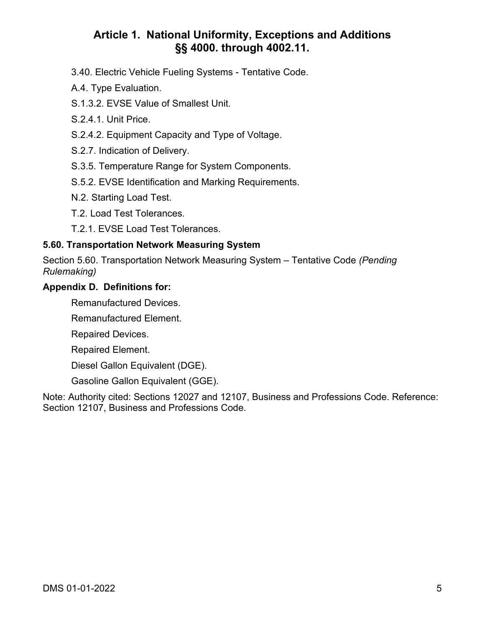- 3.40. Electric Vehicle Fueling Systems Tentative Code.
- A.4. Type Evaluation.
- S.1.3.2. EVSE Value of Smallest Unit.
- S.2.4.1. Unit Price.
- S.2.4.2. Equipment Capacity and Type of Voltage.
- S.2.7. Indication of Delivery.
- S.3.5. Temperature Range for System Components.
- S.5.2. EVSE Identification and Marking Requirements.
- N.2. Starting Load Test.
- T.2. Load Test Tolerances.
- T.2.1. EVSE Load Test Tolerances.

#### **5.60. Transportation Network Measuring System**

Section 5.60. Transportation Network Measuring System – Tentative Code *(Pending Rulemaking)*

#### **Appendix D. Definitions for:**

Remanufactured Devices.

Remanufactured Element.

Repaired Devices.

Repaired Element.

Diesel Gallon Equivalent (DGE).

Gasoline Gallon Equivalent (GGE).

Note: Authority cited: Sections 12027 and 12107, Business and Professions Code. Reference: Section 12107, Business and Professions Code.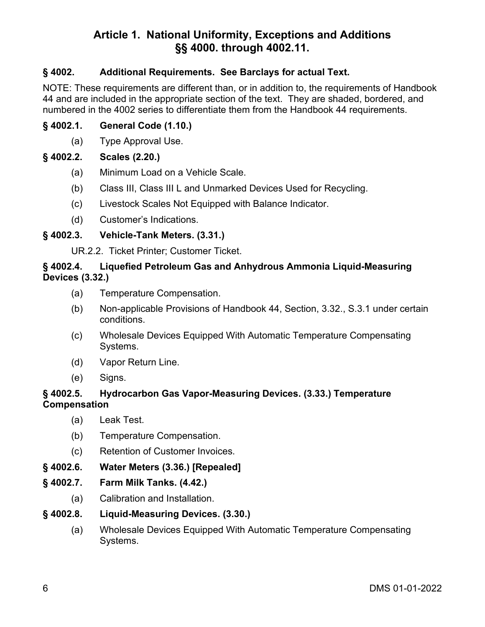#### **§ 4002. Additional Requirements. See Barclays for actual Text.**

NOTE: These requirements are different than, or in addition to, the requirements of Handbook 44 and are included in the appropriate section of the text. They are shaded, bordered, and numbered in the 4002 series to differentiate them from the Handbook 44 requirements.

#### **§ 4002.1. General Code (1.10.)**

(a) Type Approval Use.

#### **§ 4002.2. Scales (2.20.)**

- (a) Minimum Load on a Vehicle Scale.
- (b) Class III, Class III L and Unmarked Devices Used for Recycling.
- (c) Livestock Scales Not Equipped with Balance Indicator.
- (d) Customer's Indications.

#### **§ 4002.3. Vehicle-Tank Meters. (3.31.)**

UR.2.2. Ticket Printer; Customer Ticket.

#### **§ 4002.4. Liquefied Petroleum Gas and Anhydrous Ammonia Liquid-Measuring Devices (3.32.)**

- (a) Temperature Compensation.
- (b) Non-applicable Provisions of Handbook 44, Section, 3.32., S.3.1 under certain conditions.
- (c) Wholesale Devices Equipped With Automatic Temperature Compensating Systems.
- (d) Vapor Return Line.
- (e) Signs.

#### **§ 4002.5. Hydrocarbon Gas Vapor-Measuring Devices. (3.33.) Temperature Compensation**

- (a) Leak Test.
- (b) Temperature Compensation.
- (c) Retention of Customer Invoices.
- **§ 4002.6. Water Meters (3.36.) [Repealed]**
- **§ 4002.7. Farm Milk Tanks. (4.42.)**
	- (a) Calibration and Installation.
- **§ 4002.8. Liquid-Measuring Devices. (3.30.)**
	- (a) Wholesale Devices Equipped With Automatic Temperature Compensating Systems.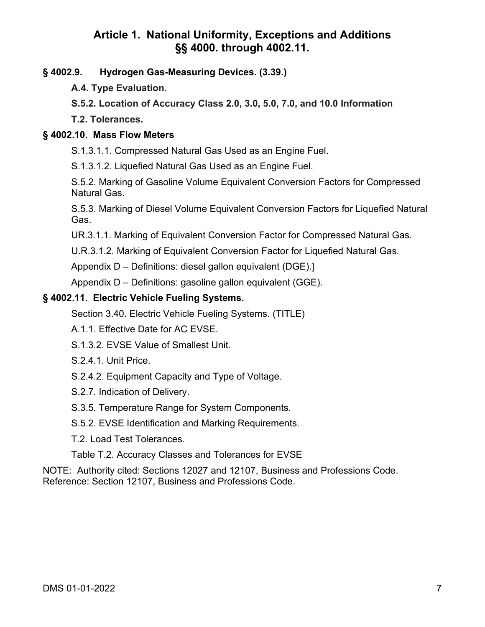#### **§ 4002.9. Hydrogen Gas-Measuring Devices. (3.39.)**

- **A.4. Type Evaluation.**
- **S.5.2. Location of Accuracy Class 2.0, 3.0, 5.0, 7.0, and 10.0 Information**
- **T.2. Tolerances.**

#### **§ 4002.10. Mass Flow Meters**

- S.1.3.1.1. Compressed Natural Gas Used as an Engine Fuel.
- S.1.3.1.2. Liquefied Natural Gas Used as an Engine Fuel.
- S.5.2. Marking of Gasoline Volume Equivalent Conversion Factors for Compressed Natural Gas.
- S.5.3. Marking of Diesel Volume Equivalent Conversion Factors for Liquefied Natural Gas.
- UR.3.1.1. Marking of Equivalent Conversion Factor for Compressed Natural Gas.
- U.R.3.1.2. Marking of Equivalent Conversion Factor for Liquefied Natural Gas.
- Appendix D Definitions: diesel gallon equivalent (DGE).]
- Appendix D Definitions: gasoline gallon equivalent (GGE).

#### **§ 4002.11. Electric Vehicle Fueling Systems.**

- Section 3.40. Electric Vehicle Fueling Systems. (TITLE)
- A.1.1. Effective Date for AC EVSE.
- S.1.3.2. EVSE Value of Smallest Unit.
- S.2.4.1. Unit Price.
- S.2.4.2. Equipment Capacity and Type of Voltage.
- S.2.7. Indication of Delivery.
- S.3.5. Temperature Range for System Components.
- S.5.2. EVSE Identification and Marking Requirements.
- T.2. Load Test Tolerances.

### Table T.2. Accuracy Classes and Tolerances for EVSE

<span id="page-8-0"></span>NOTE: Authority cited: Sections 12027 and 12107, Business and Professions Code. Reference: Section 12107, Business and Professions Code.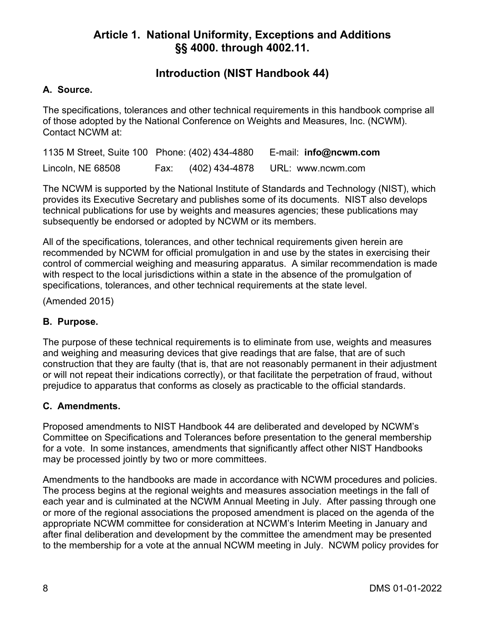### **Introduction (NIST Handbook 44)**

#### **A. Source.**

The specifications, tolerances and other technical requirements in this handbook comprise all of those adopted by the National Conference on Weights and Measures, Inc. (NCWM). Contact NCWM at:

1135 M Street, Suite 100 Phone: (402) 434-4880 E-mail: **[info@ncwm.com](mailto:info@ncwm.com)** Lincoln, NE 68508 Fax: (402) 434-4878 URL: [www.ncwm.com](http://www.ncwm.com/)

The NCWM is supported by the National Institute of Standards and Technology (NIST), which provides its Executive Secretary and publishes some of its documents. NIST also develops technical publications for use by weights and measures agencies; these publications may subsequently be endorsed or adopted by NCWM or its members.

All of the specifications, tolerances, and other technical requirements given herein are recommended by NCWM for official promulgation in and use by the states in exercising their control of commercial weighing and measuring apparatus. A similar recommendation is made with respect to the local jurisdictions within a state in the absence of the promulgation of specifications, tolerances, and other technical requirements at the state level.

(Amended 2015)

#### **B. Purpose.**

The purpose of these technical requirements is to eliminate from use, weights and measures and weighing and measuring devices that give readings that are false, that are of such construction that they are faulty (that is, that are not reasonably permanent in their adjustment or will not repeat their indications correctly), or that facilitate the perpetration of fraud, without prejudice to apparatus that conforms as closely as practicable to the official standards.

#### **C. Amendments.**

Proposed amendments to NIST Handbook 44 are deliberated and developed by NCWM's Committee on Specifications and Tolerances before presentation to the general membership for a vote. In some instances, amendments that significantly affect other NIST Handbooks may be processed jointly by two or more committees.

Amendments to the handbooks are made in accordance with NCWM procedures and policies. The process begins at the regional weights and measures association meetings in the fall of each year and is culminated at the NCWM Annual Meeting in July. After passing through one or more of the regional associations the proposed amendment is placed on the agenda of the appropriate NCWM committee for consideration at NCWM's Interim Meeting in January and after final deliberation and development by the committee the amendment may be presented to the membership for a vote at the annual NCWM meeting in July. NCWM policy provides for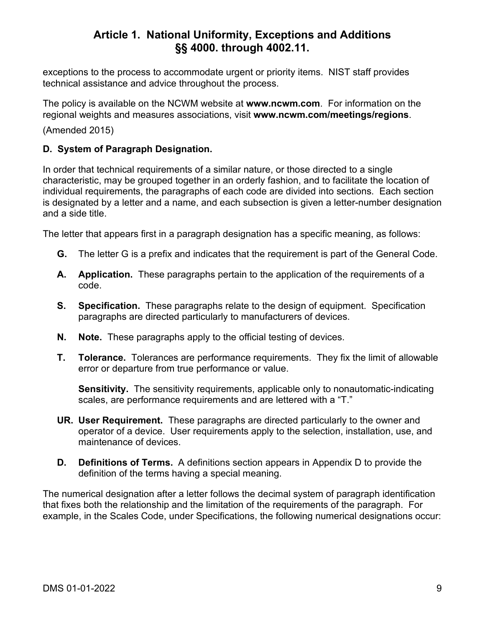exceptions to the process to accommodate urgent or priority items. NIST staff provides technical assistance and advice throughout the process.

The policy is available on the NCWM website at **[www.ncwm.com](http://www.ncwm.net/)**. For information on the regional weights and measures associations, visit **[www.ncwm.com/meetings/regions](http://www.ncwm.com/meetings/regions)**.

(Amended 2015)

#### **D. System of Paragraph Designation.**

In order that technical requirements of a similar nature, or those directed to a single characteristic, may be grouped together in an orderly fashion, and to facilitate the location of individual requirements, the paragraphs of each code are divided into sections. Each section is designated by a letter and a name, and each subsection is given a letter-number designation and a side title.

The letter that appears first in a paragraph designation has a specific meaning, as follows:

- **G.** The letter G is a prefix and indicates that the requirement is part of the General Code.
- **A. Application.** These paragraphs pertain to the application of the requirements of a code.
- **S. Specification.** These paragraphs relate to the design of equipment. Specification paragraphs are directed particularly to manufacturers of devices.
- **N. Note.** These paragraphs apply to the official testing of devices.
- **T. Tolerance.** Tolerances are performance requirements. They fix the limit of allowable error or departure from true performance or value.

**Sensitivity.** The sensitivity requirements, applicable only to nonautomatic-indicating scales, are performance requirements and are lettered with a "T."

- **UR. User Requirement.** These paragraphs are directed particularly to the owner and operator of a device. User requirements apply to the selection, installation, use, and maintenance of devices.
- **D. Definitions of Terms.** A definitions section appears in Appendix D to provide the definition of the terms having a special meaning.

The numerical designation after a letter follows the decimal system of paragraph identification that fixes both the relationship and the limitation of the requirements of the paragraph. For example, in the Scales Code, under Specifications, the following numerical designations occur: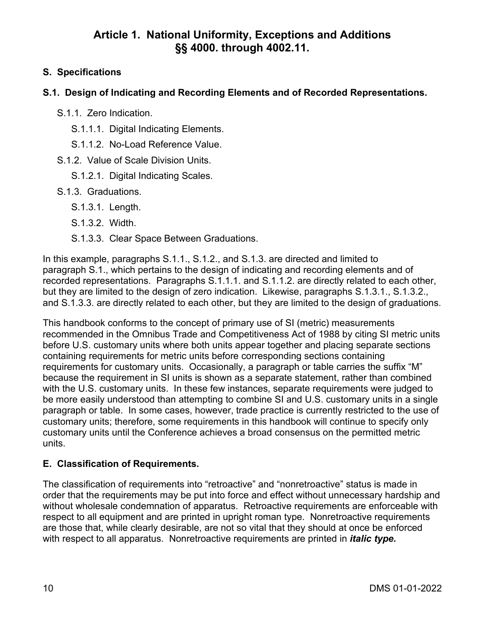#### **S. Specifications**

#### **S.1. Design of Indicating and Recording Elements and of Recorded Representations.**

- S.1.1. Zero Indication.
	- S.1.1.1. Digital Indicating Elements.
	- S.1.1.2. No-Load Reference Value.
- S.1.2. Value of Scale Division Units.
	- S.1.2.1. Digital Indicating Scales.
- S.1.3. Graduations.
	- S.1.3.1. Length.
	- S.1.3.2. Width.
	- S.1.3.3. Clear Space Between Graduations.

In this example, paragraphs S.1.1., S.1.2., and S.1.3. are directed and limited to paragraph S.1., which pertains to the design of indicating and recording elements and of recorded representations. Paragraphs S.1.1.1. and S.1.1.2. are directly related to each other, but they are limited to the design of zero indication. Likewise, paragraphs S.1.3.1., S.1.3.2., and S.1.3.3. are directly related to each other, but they are limited to the design of graduations.

This handbook conforms to the concept of primary use of SI (metric) measurements recommended in the Omnibus Trade and Competitiveness Act of 1988 by citing SI metric units before U.S. customary units where both units appear together and placing separate sections containing requirements for metric units before corresponding sections containing requirements for customary units. Occasionally, a paragraph or table carries the suffix "M" because the requirement in SI units is shown as a separate statement, rather than combined with the U.S. customary units. In these few instances, separate requirements were judged to be more easily understood than attempting to combine SI and U.S. customary units in a single paragraph or table. In some cases, however, trade practice is currently restricted to the use of customary units; therefore, some requirements in this handbook will continue to specify only customary units until the Conference achieves a broad consensus on the permitted metric units.

#### **E. Classification of Requirements.**

The classification of requirements into "retroactive" and "nonretroactive" status is made in order that the requirements may be put into force and effect without unnecessary hardship and without wholesale condemnation of apparatus. Retroactive requirements are enforceable with respect to all equipment and are printed in upright roman type. Nonretroactive requirements are those that, while clearly desirable, are not so vital that they should at once be enforced with respect to all apparatus. Nonretroactive requirements are printed in *italic type.*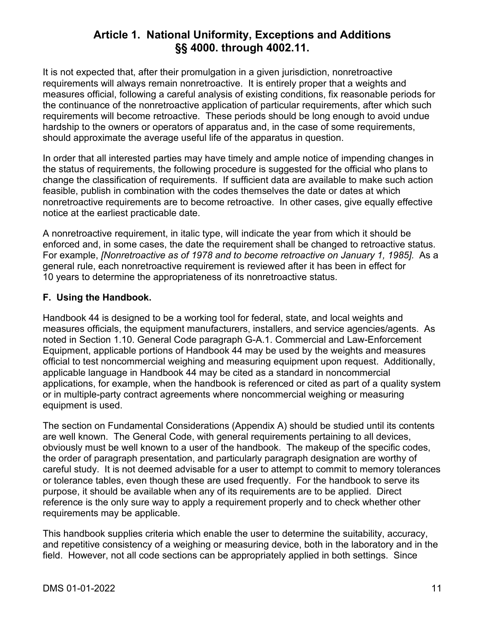It is not expected that, after their promulgation in a given jurisdiction, nonretroactive requirements will always remain nonretroactive. It is entirely proper that a weights and measures official, following a careful analysis of existing conditions, fix reasonable periods for the continuance of the nonretroactive application of particular requirements, after which such requirements will become retroactive. These periods should be long enough to avoid undue hardship to the owners or operators of apparatus and, in the case of some requirements, should approximate the average useful life of the apparatus in question.

In order that all interested parties may have timely and ample notice of impending changes in the status of requirements, the following procedure is suggested for the official who plans to change the classification of requirements. If sufficient data are available to make such action feasible, publish in combination with the codes themselves the date or dates at which nonretroactive requirements are to become retroactive. In other cases, give equally effective notice at the earliest practicable date.

A nonretroactive requirement, in italic type, will indicate the year from which it should be enforced and, in some cases, the date the requirement shall be changed to retroactive status. For example, *[Nonretroactive as of 1978 and to become retroactive on January 1, 1985].* As a general rule, each nonretroactive requirement is reviewed after it has been in effect for 10 years to determine the appropriateness of its nonretroactive status.

#### **F. Using the Handbook.**

Handbook 44 is designed to be a working tool for federal, state, and local weights and measures officials, the equipment manufacturers, installers, and service agencies/agents. As noted in Section 1.10. General Code paragraph G-A.1. Commercial and Law-Enforcement Equipment, applicable portions of Handbook 44 may be used by the weights and measures official to test noncommercial weighing and measuring equipment upon request. Additionally, applicable language in Handbook 44 may be cited as a standard in noncommercial applications, for example, when the handbook is referenced or cited as part of a quality system or in multiple-party contract agreements where noncommercial weighing or measuring equipment is used.

The section on Fundamental Considerations (Appendix A) should be studied until its contents are well known. The General Code, with general requirements pertaining to all devices, obviously must be well known to a user of the handbook. The makeup of the specific codes, the order of paragraph presentation, and particularly paragraph designation are worthy of careful study. It is not deemed advisable for a user to attempt to commit to memory tolerances or tolerance tables, even though these are used frequently. For the handbook to serve its purpose, it should be available when any of its requirements are to be applied. Direct reference is the only sure way to apply a requirement properly and to check whether other requirements may be applicable.

This handbook supplies criteria which enable the user to determine the suitability, accuracy, and repetitive consistency of a weighing or measuring device, both in the laboratory and in the field. However, not all code sections can be appropriately applied in both settings. Since